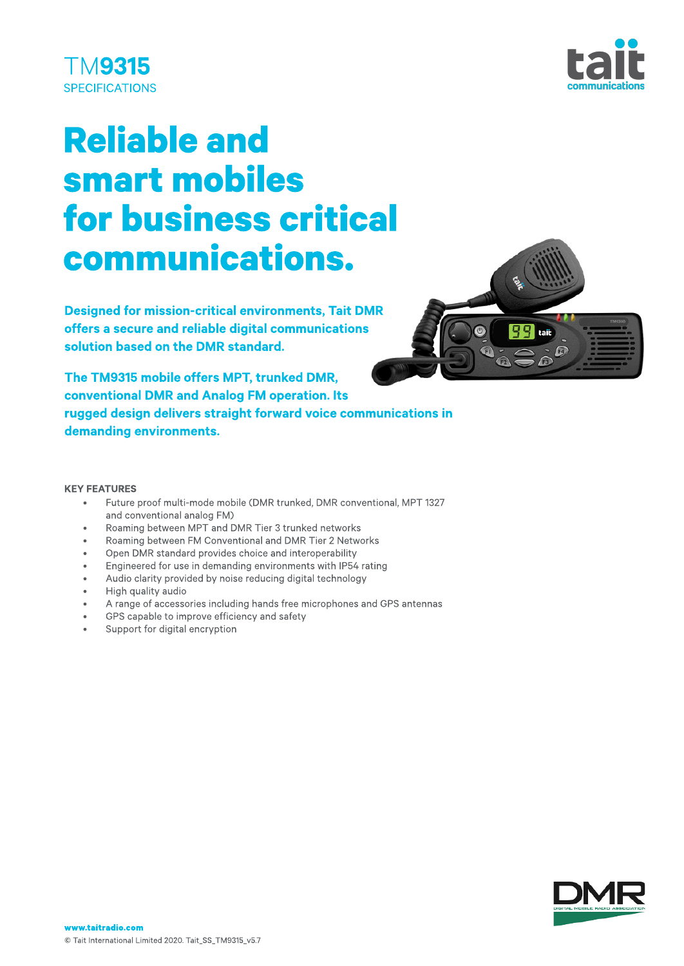



# **Reliable and** smart mobiles for business critical communications.

Designed for mission-critical environments, Tait DMR offers a secure and reliable digital communications solution based on the DMR standard.



The TM9315 mobile offers MPT, trunked DMR, conventional DMR and Analog FM operation. Its rugged design delivers straight forward voice communications in demanding environments.

#### **KEY FEATURES**

- Future proof multi-mode mobile (DMR trunked, DMR conventional, MPT 1327 and conventional analog FM)
- Roaming between MPT and DMR Tier 3 trunked networks
- Roaming between FM Conventional and DMR Tier 2 Networks
- Open DMR standard provides choice and interoperability
- Engineered for use in demanding environments with IP54 rating
- Audio clarity provided by noise reducing digital technology
- High quality audio
- A range of accessories including hands free microphones and GPS antennas
- GPS capable to improve efficiency and safety
- Support for digital encryption

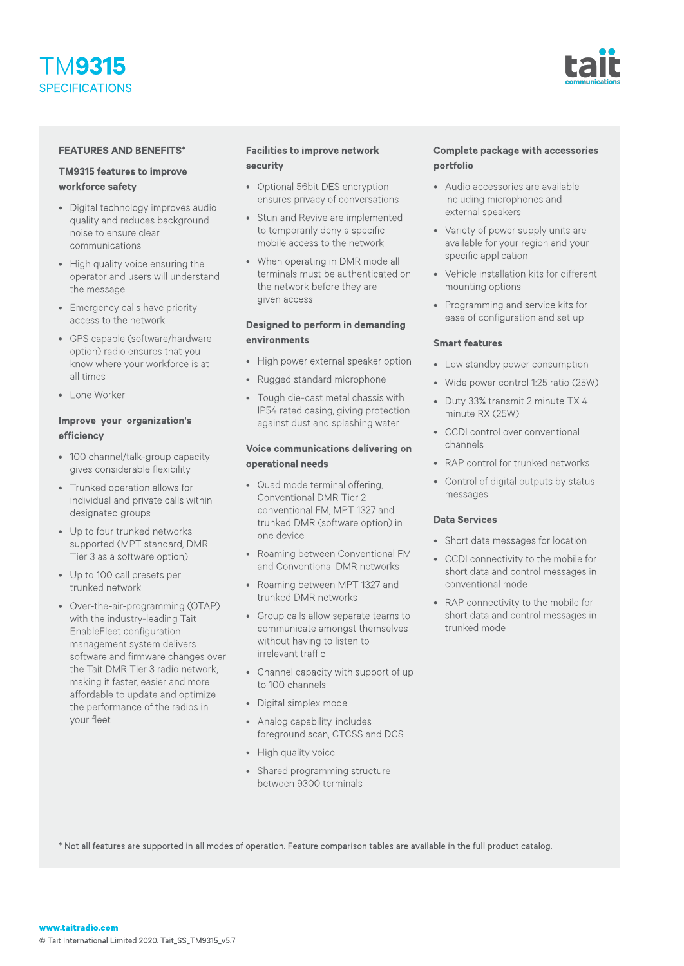



#### **FEATURES AND BENEFITS\***

#### TM9315 features to improve workforce safety

- Digital technology improves audio quality and reduces background noise to ensure clear communications
- High quality voice ensuring the operator and users will understand the message
- Emergency calls have priority access to the network
- GPS capable (software/hardware option) radio ensures that you know where your workforce is at all times
- Lone Worker

## Improve your organization's efficiency

- 100 channel/talk-group capacity gives considerable flexibility
- Trunked operation allows for individual and private calls within designated groups
- Up to four trunked networks supported (MPT standard, DMR Tier 3 as a software option)
- Up to 100 call presets per trunked network
- Over-the-air-programming(OTAP) with the industry-leading Tait EnableFleet configuration management system delivers software and firmware changes over the Tait DMR Tier 3 radio network, making it faster, easier and more affordable to update and optimize the performance of the radios in your fleet

#### **Facilities to improve network** security

- Optional 56bit DES encryption ensures privacy of conversations
- Stun and Revive are implemented to temporarily deny a specific mobile access to the network
- When operating in DMR mode all terminals must be authenticated on the network before they are given access

#### Designed to perform in demanding environments

- High power external speaker option
- Rugged standard microphone
- Tough die-cast metal chassis with IP54 rated casing, giving protection against dust and splashing water

#### Voice communications delivering on operational needs

- Quad mode terminal offering, Conventional DMR Tier 2 conventional FM, MPT 1327 and trunked DMR (software option) in one device
- Roaming between Conventional FM and Conventional DMR networks
- Roaming between MPT 1327 and trunked DMR networks
- Group calls allow separate teams to communicate amongst themselves without having to listen to irrelevant traffic
- Channel capacity with support of up to 100 channels
- Digital simplex mode
- Analog capability, includes foreground scan, CTCSS and DCS
- High quality voice
- Shared programming structure between 9300 terminals

## Complete package with accessories portfolio

- Audio accessories are available including microphones and external speakers
- Variety of power supply units are available for your region and your specific application
- Vehicle installation kits for different mounting options
- Programming and service kits for ease of configuration and set up

#### Smart features

- Low standby power consumption
- Wide power control 1:25 ratio (25W)
- Duty 33% transmit 2 minute TX 4 minute RX (25W)
- CCDI control over conventional channels
- RAP control for trunked networks
- Control of digital outputs by status messages

#### Data Services

- Short data messages for location
- CCDI connectivity to the mobile for short data and control messages in conventional mode
- RAP connectivity to the mobile for short data and control messages in trunked mode

\* Not all features are supported in all modes of operation. Feature comparison tables are available in the full product catalog.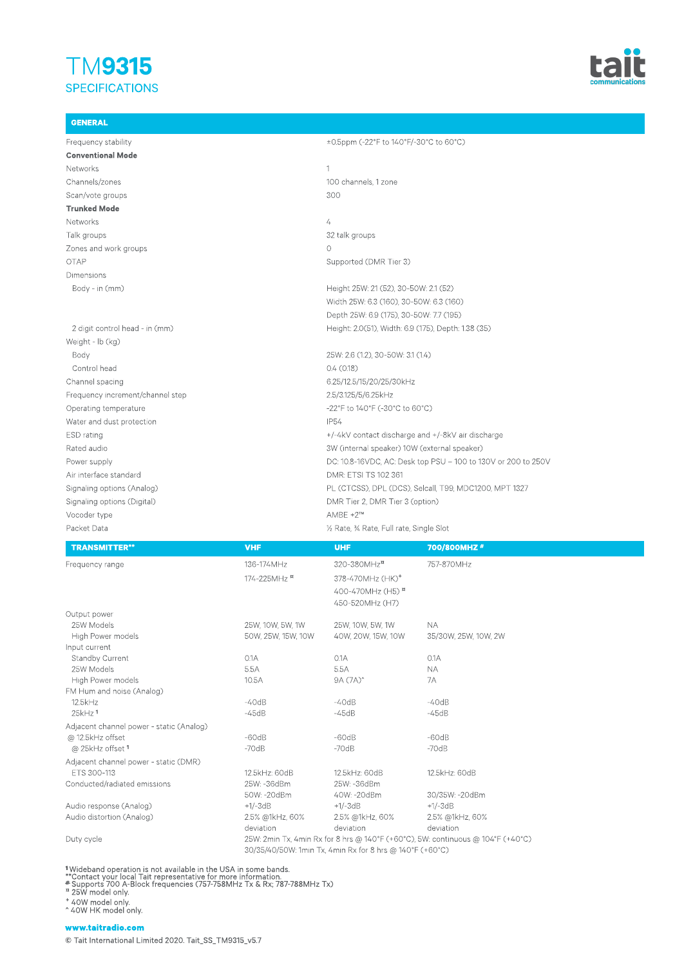# TM9315 **SPECIFICATIONS**

GENERAL



## Frequency stability  $\pm$ 0.5ppm (-22°F to 140°F/-30°C to 60°C) Conventional Mode Networks 2008 and 2008 and 2008 and 2008 and 2008 and 2008 and 2008 and 2008 and 2008 and 2008 and 2008 and 20 Channels/zones 100 channels,1zone Scan/vote groups 300 Trunked Mode Networks 4 Talk groups 32 talk groups and the state of the state of the state of the state of the state of the state of the state of the state of the state of the state of the state of the state of the state of the state of the state Zones and work groups and  $\sim$  0 OTAP Supported (DMR Tier 3) Dimensions Body - in (mm) end and the state of the Height 25W: 21 (52), 30-50W: 2.1 (52) Width 25W: 6.3 (160), 30-50W: 6.3 (160) Depth 25W: 6.9 (175), 30-50W: 7.7 (195) 2digit control head - in (mm) Height:2.0(51),Width:6.9 (175),Depth:1.38 (35) Weight - lb (kg) Body 25W: 2.6 (1.2), 30-50W: 3.1 (1.4) Control head 0.4 (0.18) Channel spacing 6.25/12.5/15/20/25/30kHz Frequency increment/channel step 2.5/3.125/5/6.25kHz Operating temperature  $-22^{\circ}F$  to  $140^{\circ}F$  (-30 $^{\circ}C$  to  $60^{\circ}C$ ) Water and dust protection IP54 ESD rating the state of the state of the state of the state of the state of the state of the state of the state of the state of the state of the state of the state of the state of the state of the state of the state of the Rated audio 3W(internal speaker) 10W(external speaker) Power supply Power supply DC:10.8-16VDC, AC: Desk top PSU - 100 to 130V or 200 to 250V Air interface standard and a metal control of the DMR: ETSI TS 102 361 Signaling options (Analog) **PL (CTCSS), DPL (DCS), Selcall, T99, MDC1200, MPT 1327** Signaling options (Digital) and the control of the DMRTier 2, DMRTier 3 (option) Vocoder type AMBE +2™ Packet Data 
packet Data **Packet Data 
Packet Data 
Packet Data**  Packet Data **Packet Data 
<b>Packet Data Packet Data Packet Data Packet Data Packet Data Packet Data Packet Data Packet Data**

| <b>TRANSMITTER**</b>                     | <b>VHF</b>                                                                      | <b>UHF</b>                   | 700/800MHZ#          |  |  |  |  |
|------------------------------------------|---------------------------------------------------------------------------------|------------------------------|----------------------|--|--|--|--|
| Frequency range                          | 136-174MHz                                                                      | 320-380MHz <sup>a</sup>      | 757-870MHz           |  |  |  |  |
|                                          | 174-225MHz <sup>a</sup>                                                         | 378-470MHz (HK) <sup>+</sup> |                      |  |  |  |  |
|                                          |                                                                                 | 400-470MHz (H5) <sup>B</sup> |                      |  |  |  |  |
|                                          |                                                                                 | 450-520MHz (H7)              |                      |  |  |  |  |
| Output power                             |                                                                                 |                              |                      |  |  |  |  |
| 25W Models                               | 25W, 10W, 5W, 1W                                                                | 25W, 10W, 5W, 1W             | <b>NA</b>            |  |  |  |  |
| High Power models                        | 50W, 25W, 15W, 10W                                                              | 40W, 20W, 15W, 10W           | 35/30W, 25W, 10W, 2W |  |  |  |  |
| Input current                            |                                                                                 |                              |                      |  |  |  |  |
| <b>Standby Current</b>                   | 0.1A                                                                            | 0.1A                         | 0.1A                 |  |  |  |  |
| 25W Models                               | 5.5A                                                                            | 5.5A                         | <b>NA</b>            |  |  |  |  |
| High Power models                        | 10.5A                                                                           | 9A (7A) <sup>^</sup>         | 7A                   |  |  |  |  |
| FM Hum and noise (Analog)                |                                                                                 |                              |                      |  |  |  |  |
| 12.5kHz                                  | $-40dB$                                                                         | $-40dB$                      | $-40dB$              |  |  |  |  |
| 25kHz <sup>1</sup>                       | $-45dB$                                                                         | $-45dB$                      | $-45dB$              |  |  |  |  |
| Adjacent channel power - static (Analog) |                                                                                 |                              |                      |  |  |  |  |
| @ 12.5kHz offset                         | $-60dB$                                                                         | $-60dB$                      | $-60dB$              |  |  |  |  |
| @ 25kHz offset 1                         | $-70dB$                                                                         | $-70dB$                      | $-70dB$              |  |  |  |  |
| Adjacent channel power - static (DMR)    |                                                                                 |                              |                      |  |  |  |  |
| ETS 300-113                              | 12.5kHz: 60dB                                                                   | 12.5kHz: 60dB                | 12.5kHz: 60dB        |  |  |  |  |
| Conducted/radiated emissions             | 25W: -36dBm                                                                     | 25W: -36dBm                  |                      |  |  |  |  |
|                                          | 50W: -20dBm                                                                     | 40W: -20dBm                  | 30/35W: -20dBm       |  |  |  |  |
| Audio response (Analog)                  | $+1/-3dB$                                                                       | $+1/-3dB$                    | $+1/-3dB$            |  |  |  |  |
| Audio distortion (Analog)                | 2.5% @1kHz, 60%                                                                 | 2.5% @1kHz, 60%              | 2.5% @1kHz, 60%      |  |  |  |  |
|                                          | deviation                                                                       | deviation                    | deviation            |  |  |  |  |
| Duty cycle                               | 25W: 2min Tx, 4min Rx for 8 hrs @ 140°F (+60°C), 5W: continuous @ 104°F (+40°C) |                              |                      |  |  |  |  |
|                                          | 30/35/40/50W: 1min Tx, 4min Rx for 8 hrs @ 140°F (+60°C)                        |                              |                      |  |  |  |  |

1Wideband operation is not available in the USA in some bands.<br>\*\*Contact your local Tait representative for more information.<br># Supports 700 A-Block frequencies (757-758MHz Tx & Rx; 787-788MHz Tx)<br>¤ 25W model only.

<sup>+</sup> 40Wmodel only. ^40WHKmodel only.

#### www.taitradio.com

© Tait International Limited 2020.Tait\_SS\_TM9315\_v5.7